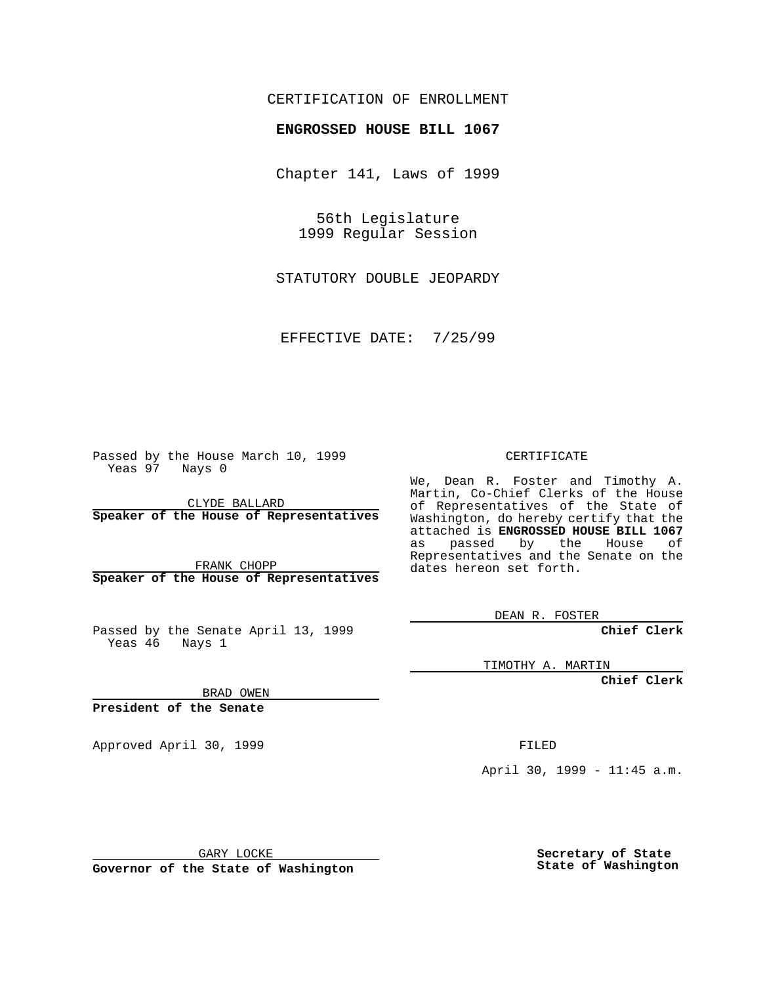## CERTIFICATION OF ENROLLMENT

## **ENGROSSED HOUSE BILL 1067**

Chapter 141, Laws of 1999

56th Legislature 1999 Regular Session

STATUTORY DOUBLE JEOPARDY

EFFECTIVE DATE: 7/25/99

Passed by the House March 10, 1999 Yeas 97 Nays 0

CLYDE BALLARD **Speaker of the House of Representatives**

FRANK CHOPP **Speaker of the House of Representatives**

Passed by the Senate April 13, 1999 Yeas 46 Nays 1

CERTIFICATE

We, Dean R. Foster and Timothy A. Martin, Co-Chief Clerks of the House of Representatives of the State of Washington, do hereby certify that the attached is **ENGROSSED HOUSE BILL 1067** as passed by the House of Representatives and the Senate on the dates hereon set forth.

DEAN R. FOSTER

**Chief Clerk**

TIMOTHY A. MARTIN

**Chief Clerk**

BRAD OWEN

**President of the Senate**

Approved April 30, 1999 **FILED** 

April 30, 1999 - 11:45 a.m.

GARY LOCKE

**Governor of the State of Washington**

**Secretary of State State of Washington**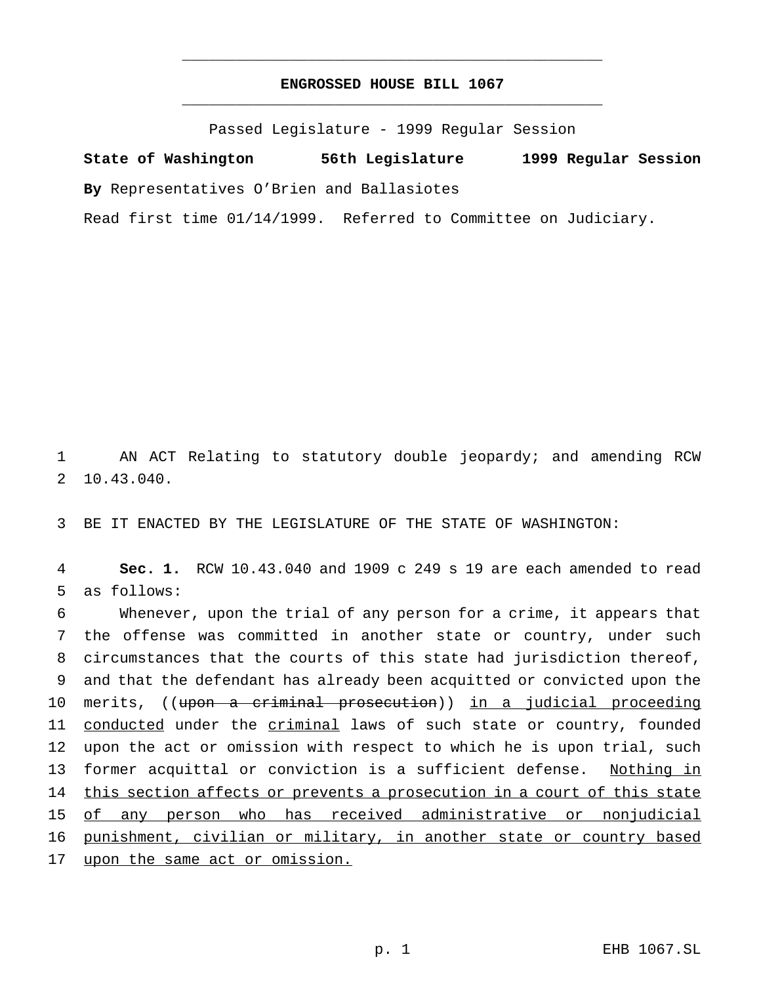## **ENGROSSED HOUSE BILL 1067** \_\_\_\_\_\_\_\_\_\_\_\_\_\_\_\_\_\_\_\_\_\_\_\_\_\_\_\_\_\_\_\_\_\_\_\_\_\_\_\_\_\_\_\_\_\_\_

\_\_\_\_\_\_\_\_\_\_\_\_\_\_\_\_\_\_\_\_\_\_\_\_\_\_\_\_\_\_\_\_\_\_\_\_\_\_\_\_\_\_\_\_\_\_\_

Passed Legislature - 1999 Regular Session

**State of Washington 56th Legislature 1999 Regular Session By** Representatives O'Brien and Ballasiotes Read first time 01/14/1999. Referred to Committee on Judiciary.

1 AN ACT Relating to statutory double jeopardy; and amending RCW 2 10.43.040.

3 BE IT ENACTED BY THE LEGISLATURE OF THE STATE OF WASHINGTON:

4 **Sec. 1.** RCW 10.43.040 and 1909 c 249 s 19 are each amended to read 5 as follows:

6 Whenever, upon the trial of any person for a crime, it appears that 7 the offense was committed in another state or country, under such 8 circumstances that the courts of this state had jurisdiction thereof, 9 and that the defendant has already been acquitted or convicted upon the 10 merits, ((upon a criminal prosecution)) in a judicial proceeding 11 conducted under the criminal laws of such state or country, founded 12 upon the act or omission with respect to which he is upon trial, such 13 former acquittal or conviction is a sufficient defense. Nothing in 14 this section affects or prevents a prosecution in a court of this state 15 of any person who has received administrative or nonjudicial 16 punishment, civilian or military, in another state or country based 17 upon the same act or omission.